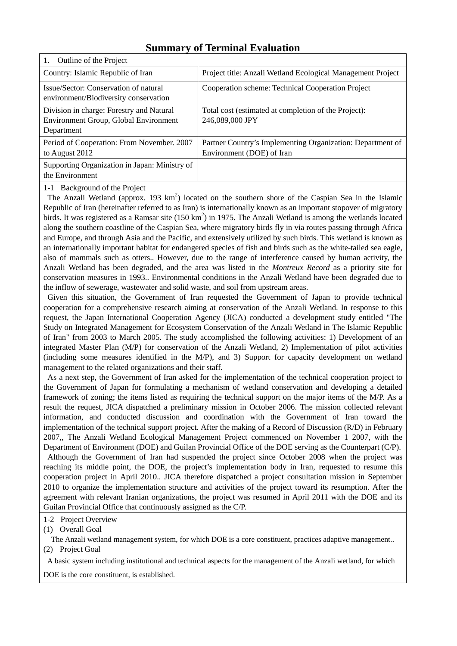| Outline of the Project<br>1.                                                                           |                                                                                         |
|--------------------------------------------------------------------------------------------------------|-----------------------------------------------------------------------------------------|
| Country: Islamic Republic of Iran                                                                      | Project title: Anzali Wetland Ecological Management Project                             |
| Issue/Sector: Conservation of natural<br>environment/Biodiversity conservation                         | Cooperation scheme: Technical Cooperation Project                                       |
| Division in charge: Forestry and Natural<br><b>Environment Group, Global Environment</b><br>Department | Total cost (estimated at completion of the Project):<br>246,089,000 JPY                 |
| Period of Cooperation: From November. 2007<br>to August 2012                                           | Partner Country's Implementing Organization: Department of<br>Environment (DOE) of Iran |
| Supporting Organization in Japan: Ministry of<br>the Environment                                       |                                                                                         |

# **Summary of Terminal Evaluation**

1-1 Background of the Project

The Anzali Wetland (approx. 193  $km^2$ ) located on the southern shore of the Caspian Sea in the Islamic Republic of Iran (hereinafter referred to as Iran) is internationally known as an important stopover of migratory birds. It was registered as a Ramsar site  $(150 \text{ km}^2)$  in 1975. The Anzali Wetland is among the wetlands located along the southern coastline of the Caspian Sea, where migratory birds fly in via routes passing through Africa and Europe, and through Asia and the Pacific, and extensively utilized by such birds. This wetland is known as an internationally important habitat for endangered species of fish and birds such as the white-tailed sea eagle, also of mammals such as otters.. However, due to the range of interference caused by human activity, the Anzali Wetland has been degraded, and the area was listed in the *Montreux Record* as a priority site for conservation measures in 1993.. Environmental conditions in the Anzali Wetland have been degraded due to the inflow of sewerage, wastewater and solid waste, and soil from upstream areas.

Given this situation, the Government of Iran requested the Government of Japan to provide technical cooperation for a comprehensive research aiming at conservation of the Anzali Wetland. In response to this request, the Japan International Cooperation Agency (JICA) conducted a development study entitled "The Study on Integrated Management for Ecosystem Conservation of the Anzali Wetland in The Islamic Republic of Iran" from 2003 to March 2005. The study accomplished the following activities: 1) Development of an integrated Master Plan (M/P) for conservation of the Anzali Wetland, 2) Implementation of pilot activities (including some measures identified in the M/P), and 3) Support for capacity development on wetland management to the related organizations and their staff.

As a next step, the Government of Iran asked for the implementation of the technical cooperation project to the Government of Japan for formulating a mechanism of wetland conservation and developing a detailed framework of zoning; the items listed as requiring the technical support on the major items of the M/P. As a result the request, JICA dispatched a preliminary mission in October 2006. The mission collected relevant information, and conducted discussion and coordination with the Government of Iran toward the implementation of the technical support project. After the making of a Record of Discussion (R/D) in February 2007,, The Anzali Wetland Ecological Management Project commenced on November 1 2007, with the Department of Environment (DOE) and Guilan Provincial Office of the DOE serving as the Counterpart (C/P).

Although the Government of Iran had suspended the project since October 2008 when the project was reaching its middle point, the DOE, the project's implementation body in Iran, requested to resume this cooperation project in April 2010.. JICA therefore dispatched a project consultation mission in September 2010 to organize the implementation structure and activities of the project toward its resumption. After the agreement with relevant Iranian organizations, the project was resumed in April 2011 with the DOE and its Guilan Provincial Office that continuously assigned as the C/P.

## 1-2 Project Overview

(1) Overall Goal

The Anzali wetland management system, for which DOE is a core constituent, practices adaptive management.. (2) Project Goal

A basic system including institutional and technical aspects for the management of the Anzali wetland, for which

DOE is the core constituent, is established.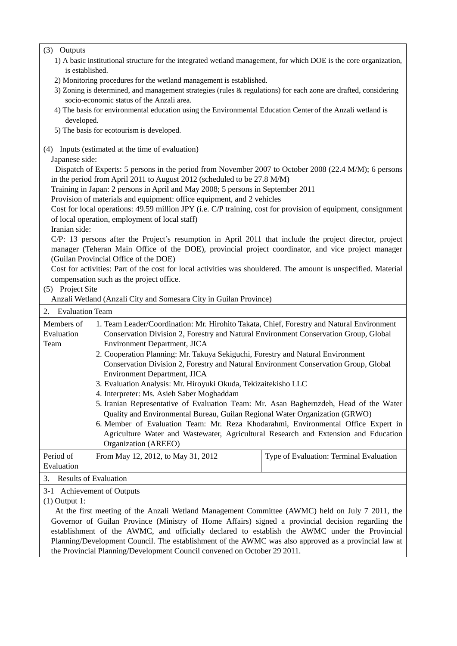## (3) Outputs

- 1) A basic institutional structure for the integrated wetland management, for which DOE is the core organization, is established.
- 2) Monitoring procedures for the wetland management is established.
- 3) Zoning is determined, and management strategies (rules & regulations) for each zone are drafted, considering socio-economic status of the Anzali area.
- 4) The basis for environmental education using the Environmental Education Center of the Anzali wetland is developed.
- 5) The basis for ecotourism is developed.
- (4) Inputs (estimated at the time of evaluation)
	- Japanese side:

Dispatch of Experts: 5 persons in the period from November 2007 to October 2008 (22.4 M/M); 6 persons in the period from April 2011 to August 2012 (scheduled to be 27.8 M/M)

Training in Japan: 2 persons in April and May 2008; 5 persons in September 2011

Provision of materials and equipment: office equipment, and 2 vehicles

Cost for local operations: 49.59 million JPY (i.e. C/P training, cost for provision of equipment, consignment of local operation, employment of local staff)

Iranian side:

C/P: 13 persons after the Project's resumption in April 2011 that include the project director, project manager (Teheran Main Office of the DOE), provincial project coordinator, and vice project manager (Guilan Provincial Office of the DOE)

Cost for activities: Part of the cost for local activities was shouldered. The amount is unspecified. Material compensation such as the project office.

## (5) Project Site

Anzali Wetland (Anzali City and Somesara City in Guilan Province)

| <b>Evaluation Team</b><br>2. |                                                                                           |                                         |  |
|------------------------------|-------------------------------------------------------------------------------------------|-----------------------------------------|--|
| Members of                   | 1. Team Leader/Coordination: Mr. Hirohito Takata, Chief, Forestry and Natural Environment |                                         |  |
| Evaluation                   | Conservation Division 2, Forestry and Natural Environment Conservation Group, Global      |                                         |  |
| Team                         | <b>Environment Department, JICA</b>                                                       |                                         |  |
|                              | 2. Cooperation Planning: Mr. Takuya Sekiguchi, Forestry and Natural Environment           |                                         |  |
|                              | Conservation Division 2, Forestry and Natural Environment Conservation Group, Global      |                                         |  |
|                              | Environment Department, JICA                                                              |                                         |  |
|                              | 3. Evaluation Analysis: Mr. Hiroyuki Okuda, Tekizaitekisho LLC                            |                                         |  |
|                              | 4. Interpreter: Ms. Asieh Saber Moghaddam                                                 |                                         |  |
|                              | 5. Iranian Representative of Evaluation Team: Mr. Asan Baghernzdeh, Head of the Water     |                                         |  |
|                              | Quality and Environmental Bureau, Guilan Regional Water Organization (GRWO)               |                                         |  |
|                              | 6. Member of Evaluation Team: Mr. Reza Khodarahmi, Environmental Office Expert in         |                                         |  |
|                              | Agriculture Water and Wastewater, Agricultural Research and Extension and Education       |                                         |  |
|                              | Organization (AREEO)                                                                      |                                         |  |
| Period of                    | From May 12, 2012, to May 31, 2012                                                        | Type of Evaluation: Terminal Evaluation |  |
| Evaluation                   |                                                                                           |                                         |  |
| 3.                           | <b>Results of Evaluation</b>                                                              |                                         |  |

3-1 Achievement of Outputs

(1) Output 1:

At the first meeting of the Anzali Wetland Management Committee (AWMC) held on July 7 2011, the Governor of Guilan Province (Ministry of Home Affairs) signed a provincial decision regarding the establishment of the AWMC, and officially declared to establish the AWMC under the Provincial Planning/Development Council. The establishment of the AWMC was also approved as a provincial law at the Provincial Planning/Development Council convened on October 29 2011.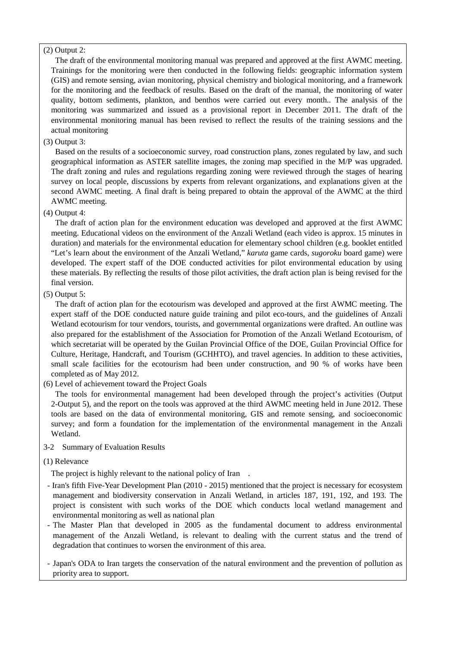## (2) Output 2:

The draft of the environmental monitoring manual was prepared and approved at the first AWMC meeting. Trainings for the monitoring were then conducted in the following fields: geographic information system (GIS) and remote sensing, avian monitoring, physical chemistry and biological monitoring, and a framework for the monitoring and the feedback of results. Based on the draft of the manual, the monitoring of water quality, bottom sediments, plankton, and benthos were carried out every month.. The analysis of the monitoring was summarized and issued as a provisional report in December 2011. The draft of the environmental monitoring manual has been revised to reflect the results of the training sessions and the actual monitoring

(3) Output 3:

Based on the results of a socioeconomic survey, road construction plans, zones regulated by law, and such geographical information as ASTER satellite images, the zoning map specified in the M/P was upgraded. The draft zoning and rules and regulations regarding zoning were reviewed through the stages of hearing survey on local people, discussions by experts from relevant organizations, and explanations given at the second AWMC meeting. A final draft is being prepared to obtain the approval of the AWMC at the third AWMC meeting.

# (4) Output 4:

The draft of action plan for the environment education was developed and approved at the first AWMC meeting. Educational videos on the environment of the Anzali Wetland (each video is approx. 15 minutes in duration) and materials for the environmental education for elementary school children (e.g. booklet entitled "Let's learn about the environment of the Anzali Wetland," *karuta* game cards, *sugoroku* board game) were developed. The expert staff of the DOE conducted activities for pilot environmental education by using these materials. By reflecting the results of those pilot activities, the draft action plan is being revised for the final version.

# (5) Output 5:

The draft of action plan for the ecotourism was developed and approved at the first AWMC meeting. The expert staff of the DOE conducted nature guide training and pilot eco-tours, and the guidelines of Anzali Wetland ecotourism for tour vendors, tourists, and governmental organizations were drafted. An outline was also prepared for the establishment of the Association for Promotion of the Anzali Wetland Ecotourism, of which secretariat will be operated by the Guilan Provincial Office of the DOE, Guilan Provincial Office for Culture, Heritage, Handcraft, and Tourism (GCHHTO), and travel agencies. In addition to these activities, small scale facilities for the ecotourism had been under construction, and 90 % of works have been completed as of May 2012.

(6) Level of achievement toward the Project Goals

The tools for environmental management had been developed through the project's activities (Output 2-Output 5), and the report on the tools was approved at the third AWMC meeting held in June 2012. These tools are based on the data of environmental monitoring, GIS and remote sensing, and socioeconomic survey; and form a foundation for the implementation of the environmental management in the Anzali Wetland.

## 3-2 Summary of Evaluation Results

(1) Relevance

The project is highly relevant to the national policy of Iran.

- Iran's fifth Five-Year Development Plan (2010 2015) mentioned that the project is necessary for ecosystem management and biodiversity conservation in Anzali Wetland, in articles 187, 191, 192, and 193. The project is consistent with such works of the DOE which conducts local wetland management and environmental monitoring as well as national plan
- The Master Plan that developed in 2005 as the fundamental document to address environmental management of the Anzali Wetland, is relevant to dealing with the current status and the trend of degradation that continues to worsen the environment of this area.
- Japan's ODA to Iran targets the conservation of the natural environment and the prevention of pollution as priority area to support.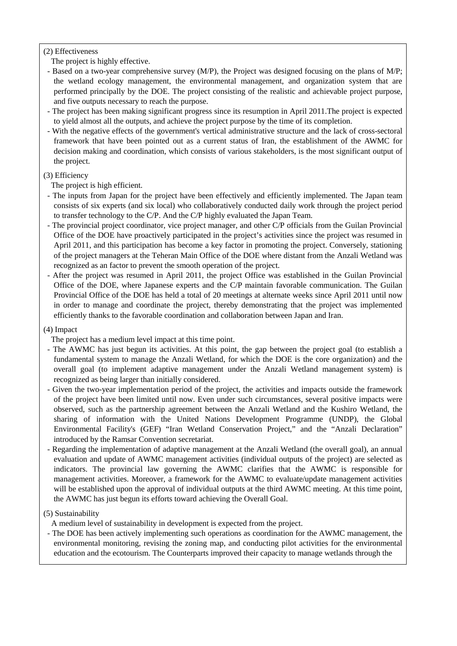# (2) Effectiveness

The project is highly effective.

- Based on a two-year comprehensive survey (M/P), the Project was designed focusing on the plans of M/P; the wetland ecology management, the environmental management, and organization system that are performed principally by the DOE. The project consisting of the realistic and achievable project purpose, and five outputs necessary to reach the purpose.
- The project has been making significant progress since its resumption in April 2011.The project is expected to yield almost all the outputs, and achieve the project purpose by the time of its completion.
- With the negative effects of the government's vertical administrative structure and the lack of cross-sectoral framework that have been pointed out as a current status of Iran, the establishment of the AWMC for decision making and coordination, which consists of various stakeholders, is the most significant output of the project.

# (3) Efficiency

The project is high efficient.

- The inputs from Japan for the project have been effectively and efficiently implemented. The Japan team consists of six experts (and six local) who collaboratively conducted daily work through the project period to transfer technology to the C/P. And the C/P highly evaluated the Japan Team.
- The provincial project coordinator, vice project manager, and other C/P officials from the Guilan Provincial Office of the DOE have proactively participated in the project's activities since the project was resumed in April 2011, and this participation has become a key factor in promoting the project. Conversely, stationing of the project managers at the Teheran Main Office of the DOE where distant from the Anzali Wetland was recognized as an factor to prevent the smooth operation of the project.
- After the project was resumed in April 2011, the project Office was established in the Guilan Provincial Office of the DOE, where Japanese experts and the C/P maintain favorable communication. The Guilan Provincial Office of the DOE has held a total of 20 meetings at alternate weeks since April 2011 until now in order to manage and coordinate the project, thereby demonstrating that the project was implemented efficiently thanks to the favorable coordination and collaboration between Japan and Iran.

## (4) Impact

The project has a medium level impact at this time point.

- The AWMC has just begun its activities. At this point, the gap between the project goal (to establish a fundamental system to manage the Anzali Wetland, for which the DOE is the core organization) and the overall goal (to implement adaptive management under the Anzali Wetland management system) is recognized as being larger than initially considered.
- Given the two-year implementation period of the project, the activities and impacts outside the framework of the project have been limited until now. Even under such circumstances, several positive impacts were observed, such as the partnership agreement between the Anzali Wetland and the Kushiro Wetland, the sharing of information with the United Nations Development Programme (UNDP), the Global Environmental Facility's (GEF) "Iran Wetland Conservation Project," and the "Anzali Declaration" introduced by the Ramsar Convention secretariat.
- Regarding the implementation of adaptive management at the Anzali Wetland (the overall goal), an annual evaluation and update of AWMC management activities (individual outputs of the project) are selected as indicators. The provincial law governing the AWMC clarifies that the AWMC is responsible for management activities. Moreover, a framework for the AWMC to evaluate/update management activities will be established upon the approval of individual outputs at the third AWMC meeting. At this time point, the AWMC has just begun its efforts toward achieving the Overall Goal.

## (5) Sustainability

A medium level of sustainability in development is expected from the project.

- The DOE has been actively implementing such operations as coordination for the AWMC management, the environmental monitoring, revising the zoning map, and conducting pilot activities for the environmental education and the ecotourism. The Counterparts improved their capacity to manage wetlands through the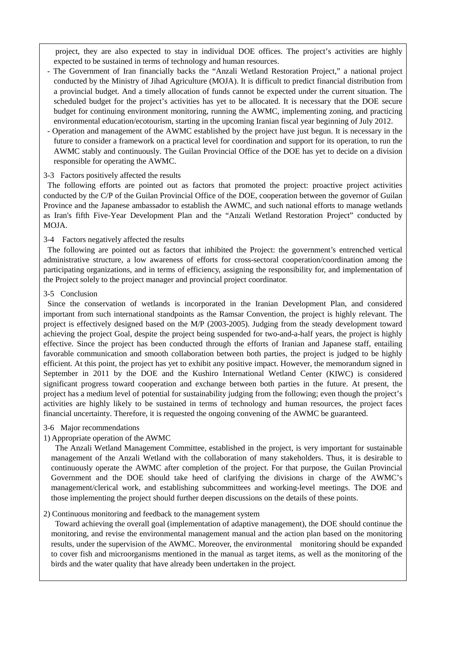project, they are also expected to stay in individual DOE offices. The project's activities are highly expected to be sustained in terms of technology and human resources.

- The Government of Iran financially backs the "Anzali Wetland Restoration Project," a national project conducted by the Ministry of Jihad Agriculture (MOJA). It is difficult to predict financial distribution from a provincial budget. And a timely allocation of funds cannot be expected under the current situation. The scheduled budget for the project's activities has yet to be allocated. It is necessary that the DOE secure budget for continuing environment monitoring, running the AWMC, implementing zoning, and practicing environmental education/ecotourism, starting in the upcoming Iranian fiscal year beginning of July 2012.
- Operation and management of the AWMC established by the project have just begun. It is necessary in the future to consider a framework on a practical level for coordination and support for its operation, to run the AWMC stably and continuously. The Guilan Provincial Office of the DOE has yet to decide on a division responsible for operating the AWMC.

## 3-3 Factors positively affected the results

The following efforts are pointed out as factors that promoted the project: proactive project activities conducted by the C/P of the Guilan Provincial Office of the DOE, cooperation between the governor of Guilan Province and the Japanese ambassador to establish the AWMC, and such national efforts to manage wetlands as Iran's fifth Five-Year Development Plan and the "Anzali Wetland Restoration Project" conducted by MOJA.

## 3-4 Factors negatively affected the results

The following are pointed out as factors that inhibited the Project: the government's entrenched vertical administrative structure, a low awareness of efforts for cross-sectoral cooperation/coordination among the participating organizations, and in terms of efficiency, assigning the responsibility for, and implementation of the Project solely to the project manager and provincial project coordinator.

#### 3-5 Conclusion

Since the conservation of wetlands is incorporated in the Iranian Development Plan, and considered important from such international standpoints as the Ramsar Convention, the project is highly relevant. The project is effectively designed based on the M/P (2003-2005). Judging from the steady development toward achieving the project Goal, despite the project being suspended for two-and-a-half years, the project is highly effective. Since the project has been conducted through the efforts of Iranian and Japanese staff, entailing favorable communication and smooth collaboration between both parties, the project is judged to be highly efficient. At this point, the project has yet to exhibit any positive impact. However, the memorandum signed in September in 2011 by the DOE and the Kushiro International Wetland Center (KIWC) is considered significant progress toward cooperation and exchange between both parties in the future. At present, the project has a medium level of potential for sustainability judging from the following; even though the project's activities are highly likely to be sustained in terms of technology and human resources, the project faces financial uncertainty. Therefore, it is requested the ongoing convening of the AWMC be guaranteed.

## 3-6 Major recommendations

## 1) Appropriate operation of the AWMC

The Anzali Wetland Management Committee, established in the project, is very important for sustainable management of the Anzali Wetland with the collaboration of many stakeholders. Thus, it is desirable to continuously operate the AWMC after completion of the project. For that purpose, the Guilan Provincial Government and the DOE should take heed of clarifying the divisions in charge of the AWMC's management/clerical work, and establishing subcommittees and working-level meetings. The DOE and those implementing the project should further deepen discussions on the details of these points.

## 2) Continuous monitoring and feedback to the management system

Toward achieving the overall goal (implementation of adaptive management), the DOE should continue the monitoring, and revise the environmental management manual and the action plan based on the monitoring results, under the supervision of the AWMC. Moreover, the environmental monitoring should be expanded to cover fish and microorganisms mentioned in the manual as target items, as well as the monitoring of the birds and the water quality that have already been undertaken in the project.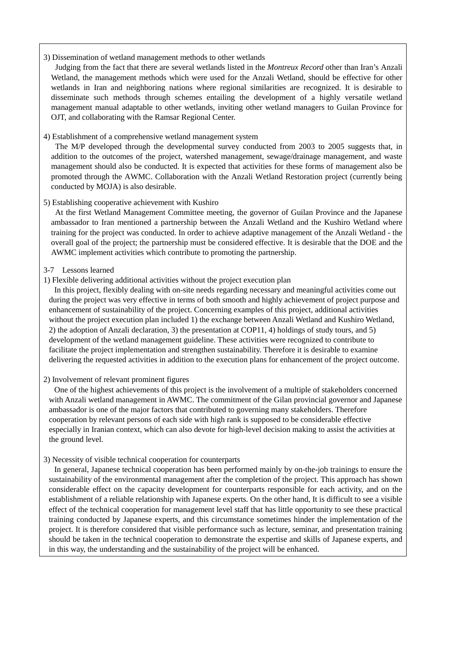## 3) Dissemination of wetland management methods to other wetlands

Judging from the fact that there are several wetlands listed in the *Montreux Record* other than Iran's Anzali Wetland, the management methods which were used for the Anzali Wetland, should be effective for other wetlands in Iran and neighboring nations where regional similarities are recognized. It is desirable to disseminate such methods through schemes entailing the development of a highly versatile wetland management manual adaptable to other wetlands, inviting other wetland managers to Guilan Province for OJT, and collaborating with the Ramsar Regional Center.

## 4) Establishment of a comprehensive wetland management system

The M/P developed through the developmental survey conducted from 2003 to 2005 suggests that, in addition to the outcomes of the project, watershed management, sewage/drainage management, and waste management should also be conducted. It is expected that activities for these forms of management also be promoted through the AWMC. Collaboration with the Anzali Wetland Restoration project (currently being conducted by MOJA) is also desirable.

#### 5) Establishing cooperative achievement with Kushiro

At the first Wetland Management Committee meeting, the governor of Guilan Province and the Japanese ambassador to Iran mentioned a partnership between the Anzali Wetland and the Kushiro Wetland where training for the project was conducted. In order to achieve adaptive management of the Anzali Wetland - the overall goal of the project; the partnership must be considered effective. It is desirable that the DOE and the AWMC implement activities which contribute to promoting the partnership.

## 3-7 Lessons learned

#### 1) Flexible delivering additional activities without the project execution plan

In this project, flexibly dealing with on-site needs regarding necessary and meaningful activities come out during the project was very effective in terms of both smooth and highly achievement of project purpose and enhancement of sustainability of the project. Concerning examples of this project, additional activities without the project execution plan included 1) the exchange between Anzali Wetland and Kushiro Wetland, 2) the adoption of Anzali declaration, 3) the presentation at COP11, 4) holdings of study tours, and 5) development of the wetland management guideline. These activities were recognized to contribute to facilitate the project implementation and strengthen sustainability. Therefore it is desirable to examine delivering the requested activities in addition to the execution plans for enhancement of the project outcome.

## 2) Involvement of relevant prominent figures

One of the highest achievements of this project is the involvement of a multiple of stakeholders concerned with Anzali wetland management in AWMC. The commitment of the Gilan provincial governor and Japanese ambassador is one of the major factors that contributed to governing many stakeholders. Therefore cooperation by relevant persons of each side with high rank is supposed to be considerable effective especially in Iranian context, which can also devote for high-level decision making to assist the activities at the ground level.

#### 3) Necessity of visible technical cooperation for counterparts

In general, Japanese technical cooperation has been performed mainly by on-the-job trainings to ensure the sustainability of the environmental management after the completion of the project. This approach has shown considerable effect on the capacity development for counterparts responsible for each activity, and on the establishment of a reliable relationship with Japanese experts. On the other hand, It is difficult to see a visible effect of the technical cooperation for management level staff that has little opportunity to see these practical training conducted by Japanese experts, and this circumstance sometimes hinder the implementation of the project. It is therefore considered that visible performance such as lecture, seminar, and presentation training should be taken in the technical cooperation to demonstrate the expertise and skills of Japanese experts, and in this way, the understanding and the sustainability of the project will be enhanced.